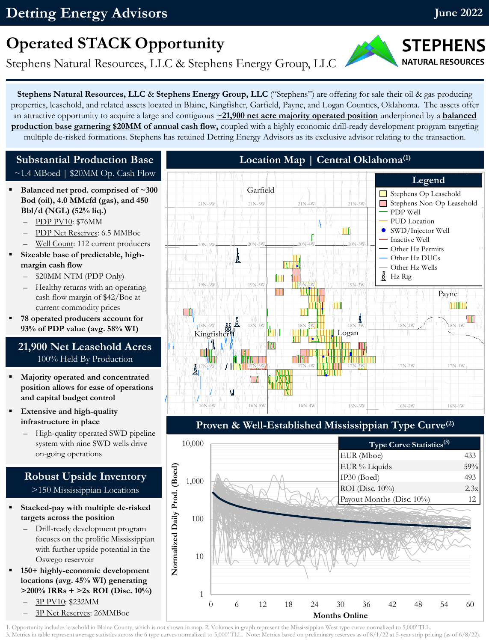## **Detring Energy Advisors**

## **Operated STACK Opportunity**

Stephens Natural Resources, LLC & Stephens Energy Group, LLC

**Stephens Natural Resources, LLC** & **Stephens Energy Group, LLC** ("Stephens") are offering for sale their oil & gas producing properties, leasehold, and related assets located in Blaine, Kingfisher, Garfield, Payne, and Logan Counties, Oklahoma. The assets offer an attractive opportunity to acquire a large and contiguous **~21,900 net acre majority operated position** underpinned by a **balanced production base garnering \$20MM of annual cash flow,** coupled with a highly economic drill-ready development program targeting multiple de-risked formations. Stephens has retained Detring Energy Advisors as its exclusive advisor relating to the transaction.

#### **Substantial Production Base**  $~1.4$  MBoed | \$20MM Op. Cash Flow

- Balanced net prod. comprised of ~300 **Bod (oil), 4.0 MMcfd (gas), and 450 Bbl/d (NGL) (52% liq.)**
	- PDP PV10: \$76MM
	- PDP Net Reserves: 6.5 MMBoe
	- Well Count: 112 current producers
- Sizeable base of predictable, high**margin cash flow**
	- \$20MM NTM (PDP Only)
	- Healthy returns with an operating cash flow margin of \$42/Boe at current commodity prices
- **78 operated producers account for 93% of PDP value (avg. 58% WI)**

#### **21,900 Net Leasehold Acres** 100% Held By Production

- **Majority operated and concentrated position allows for ease of operations and capital budget control**
- **Extensive and high-quality infrastructure in place** 
	- High-quality operated SWD pipeline system with nine SWD wells drive on-going operations

#### **Robust Upside Inventory** >150 Mississippian Locations

- **Stacked-pay with multiple de-risked targets across the position**
	- Drill-ready development program focuses on the prolific Mississippian with further upside potential in the Oswego reservoir
- **150+ highly-economic development locations (avg. 45% WI) generating >200% IRRs + >2x ROI (Disc. 10%)** – 3P PV10: \$232MM
	- 3P Net Reserves: 26MMBoe



### **Proven & Well-Established Mississippian Type Curve(2)**



1. Opportunity includes leasehold in Blaine County, which is not shown in map. 2. Volumes in graph represent the Mississippian West type curve normalized to 5,000' TLL. 3. Metrics in table represent average statistics across the 6 type curves normalized to 5,000' TLL. Note: Metrics based on preliminary reserves as of 8/1/22 at 5-year strip pricing (as of 6/8/22).

**June 2022**

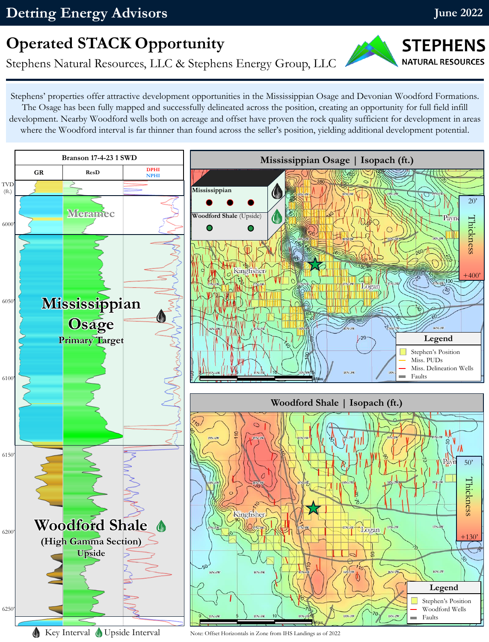**STEPHENS NATURAL RESOURCES** 

## **Operated STACK Opportunity**

Stephens Natural Resources, LLC & Stephens Energy Group, LLC

Stephens' properties offer attractive development opportunities in the Mississippian Osage and Devonian Woodford Formations. The Osage has been fully mapped and successfully delineated across the position, creating an opportunity for full field infill development. Nearby Woodford wells both on acreage and offset have proven the rock quality sufficient for development in areas where the Woodford interval is far thinner than found across the seller's position, yielding additional development potential.